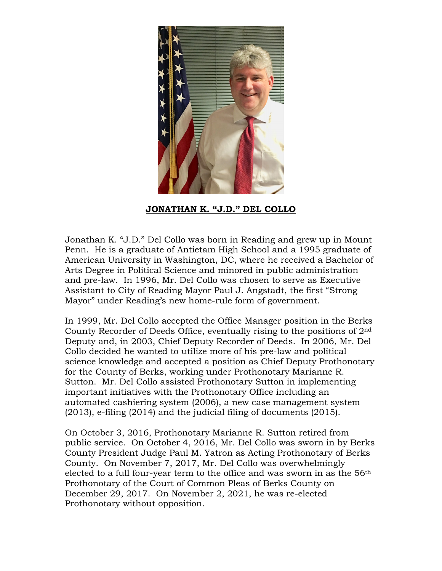

**JONATHAN K. "J.D." DEL COLLO**

Jonathan K. "J.D." Del Collo was born in Reading and grew up in Mount Penn. He is a graduate of Antietam High School and a 1995 graduate of American University in Washington, DC, where he received a Bachelor of Arts Degree in Political Science and minored in public administration and pre-law. In 1996, Mr. Del Collo was chosen to serve as Executive Assistant to City of Reading Mayor Paul J. Angstadt, the first "Strong Mayor" under Reading's new home-rule form of government.

In 1999, Mr. Del Collo accepted the Office Manager position in the Berks County Recorder of Deeds Office, eventually rising to the positions of 2nd Deputy and, in 2003, Chief Deputy Recorder of Deeds. In 2006, Mr. Del Collo decided he wanted to utilize more of his pre-law and political science knowledge and accepted a position as Chief Deputy Prothonotary for the County of Berks, working under Prothonotary Marianne R. Sutton. Mr. Del Collo assisted Prothonotary Sutton in implementing important initiatives with the Prothonotary Office including an automated cashiering system (2006), a new case management system (2013), e-filing (2014) and the judicial filing of documents (2015).

On October 3, 2016, Prothonotary Marianne R. Sutton retired from public service. On October 4, 2016, Mr. Del Collo was sworn in by Berks County President Judge Paul M. Yatron as Acting Prothonotary of Berks County. On November 7, 2017, Mr. Del Collo was overwhelmingly elected to a full four-year term to the office and was sworn in as the 56<sup>th</sup> Prothonotary of the Court of Common Pleas of Berks County on December 29, 2017. On November 2, 2021, he was re-elected Prothonotary without opposition.